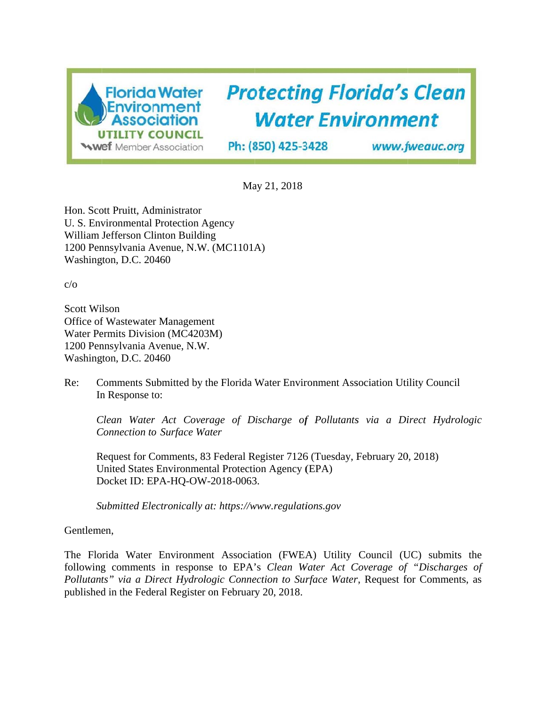

# **Protecting Florida's Clean Water Environment**

Ph: (850) 425-3428

www.fweauc.org

Ma ay 21, 2018

Hon. Scott Pruitt, Administrator U. S. Environmental Protection Agency William Jefferson Clinton Building 1200 Pennsylvania Avenue, N.W. (MC1101A) Washington, D.C. 20460

c/o

Scott Wi lson Office of Wastewater Management Water Permits Division (MC4203M) 1200 Pennsylvania Avenue, N.W. Washington, D.C. 20460

Re: In Response to: Comments Submitted by the Florida Water Environment Association Utility Council

*Clean Water Act Coverage of Discharge of Pollutants via a Direct Hydrologic*  $$ 

Request for Comments, 83 Federal Register 7126 (Tuesday, February 20, 2018) United States Environmental Protection Agency (EPA) Docket ID: EPA-HQ-OW-2018-0063.

Submitted Electronically at: https://www.regulations.gov

Gentlemen,

The Florida Water Environment Association (FWEA) Utility Council (UC) submits the following comments in response to EPA's *Clean Water Act Coverage of "Discharges of* Pollutants" via a Direct Hydrologic Connection to Surface Water, Request for Comments, as published in the Federal Register on February 20, 2018.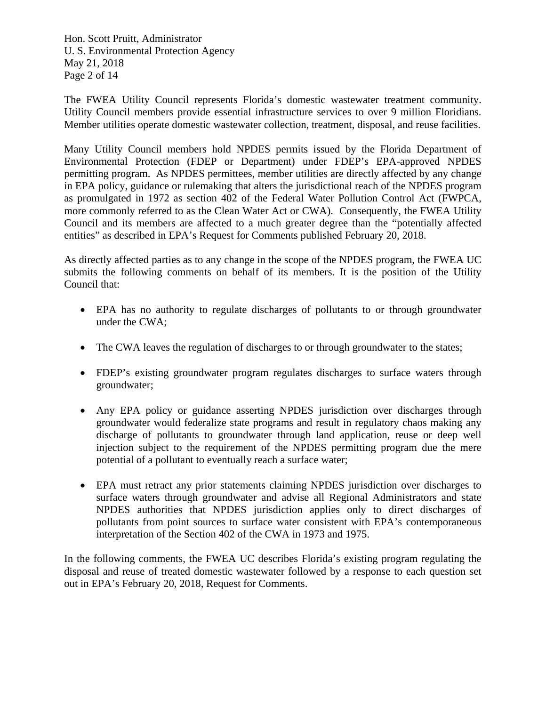Hon. Scott Pruitt, Administrator U. S. Environmental Protection Agency May 21, 2018 Page 2 of 14

The FWEA Utility Council represents Florida's domestic wastewater treatment community. Utility Council members provide essential infrastructure services to over 9 million Floridians. Member utilities operate domestic wastewater collection, treatment, disposal, and reuse facilities.

Many Utility Council members hold NPDES permits issued by the Florida Department of Environmental Protection (FDEP or Department) under FDEP's EPA-approved NPDES permitting program. As NPDES permittees, member utilities are directly affected by any change in EPA policy, guidance or rulemaking that alters the jurisdictional reach of the NPDES program as promulgated in 1972 as section 402 of the Federal Water Pollution Control Act (FWPCA, more commonly referred to as the Clean Water Act or CWA). Consequently, the FWEA Utility Council and its members are affected to a much greater degree than the "potentially affected entities" as described in EPA's Request for Comments published February 20, 2018.

As directly affected parties as to any change in the scope of the NPDES program, the FWEA UC submits the following comments on behalf of its members. It is the position of the Utility Council that:

- EPA has no authority to regulate discharges of pollutants to or through groundwater under the CWA;
- The CWA leaves the regulation of discharges to or through groundwater to the states;
- FDEP's existing groundwater program regulates discharges to surface waters through groundwater;
- Any EPA policy or guidance asserting NPDES jurisdiction over discharges through groundwater would federalize state programs and result in regulatory chaos making any discharge of pollutants to groundwater through land application, reuse or deep well injection subject to the requirement of the NPDES permitting program due the mere potential of a pollutant to eventually reach a surface water;
- EPA must retract any prior statements claiming NPDES jurisdiction over discharges to surface waters through groundwater and advise all Regional Administrators and state NPDES authorities that NPDES jurisdiction applies only to direct discharges of pollutants from point sources to surface water consistent with EPA's contemporaneous interpretation of the Section 402 of the CWA in 1973 and 1975.

In the following comments, the FWEA UC describes Florida's existing program regulating the disposal and reuse of treated domestic wastewater followed by a response to each question set out in EPA's February 20, 2018, Request for Comments.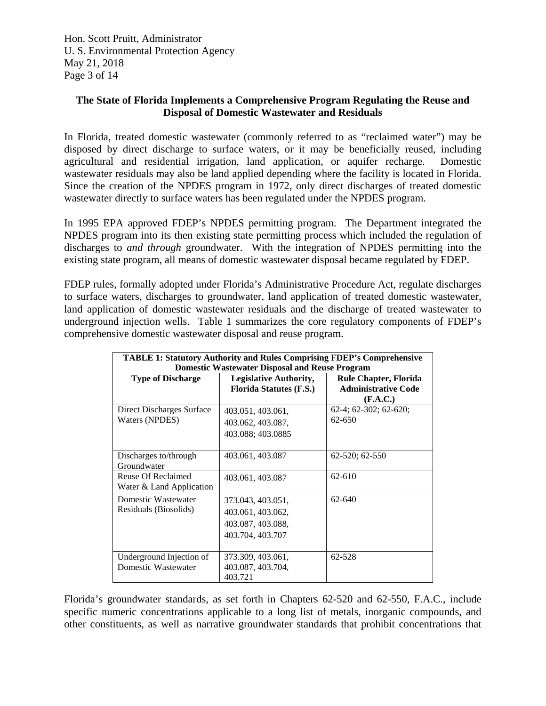Hon. Scott Pruitt, Administrator U. S. Environmental Protection Agency May 21, 2018 Page 3 of 14

# **The State of Florida Implements a Comprehensive Program Regulating the Reuse and Disposal of Domestic Wastewater and Residuals**

In Florida, treated domestic wastewater (commonly referred to as "reclaimed water") may be disposed by direct discharge to surface waters, or it may be beneficially reused, including agricultural and residential irrigation, land application, or aquifer recharge. Domestic wastewater residuals may also be land applied depending where the facility is located in Florida. Since the creation of the NPDES program in 1972, only direct discharges of treated domestic wastewater directly to surface waters has been regulated under the NPDES program.

In 1995 EPA approved FDEP's NPDES permitting program. The Department integrated the NPDES program into its then existing state permitting process which included the regulation of discharges to *and through* groundwater. With the integration of NPDES permitting into the existing state program, all means of domestic wastewater disposal became regulated by FDEP.

FDEP rules, formally adopted under Florida's Administrative Procedure Act, regulate discharges to surface waters, discharges to groundwater, land application of treated domestic wastewater, land application of domestic wastewater residuals and the discharge of treated wastewater to underground injection wells. Table 1 summarizes the core regulatory components of FDEP's comprehensive domestic wastewater disposal and reuse program.

| <b>TABLE 1: Statutory Authority and Rules Comprising FDEP's Comprehensive</b><br><b>Domestic Wastewater Disposal and Reuse Program</b> |                                                                                 |                                                                        |
|----------------------------------------------------------------------------------------------------------------------------------------|---------------------------------------------------------------------------------|------------------------------------------------------------------------|
| <b>Type of Discharge</b>                                                                                                               | <b>Legislative Authority,</b><br><b>Florida Statutes (F.S.)</b>                 | <b>Rule Chapter, Florida</b><br><b>Administrative Code</b><br>(F.A.C.) |
| Direct Discharges Surface<br>Waters (NPDES)                                                                                            | 403.051, 403.061,<br>403.062, 403.087,<br>403.088; 403.0885                     | 62-4; 62-302; 62-620;<br>62-650                                        |
| Discharges to/through<br>Groundwater                                                                                                   | 403.061, 403.087                                                                | 62-520; 62-550                                                         |
| Reuse Of Reclaimed<br>Water & Land Application                                                                                         | 403.061, 403.087                                                                | 62-610                                                                 |
| Domestic Wastewater<br>Residuals (Biosolids)                                                                                           | 373.043, 403.051,<br>403.061, 403.062,<br>403.087, 403.088,<br>403.704, 403.707 | 62-640                                                                 |
| Underground Injection of<br>Domestic Wastewater                                                                                        | 373.309, 403.061,<br>403.087, 403.704,<br>403.721                               | 62-528                                                                 |

Florida's groundwater standards, as set forth in Chapters 62-520 and 62-550, F.A.C., include specific numeric concentrations applicable to a long list of metals, inorganic compounds, and other constituents, as well as narrative groundwater standards that prohibit concentrations that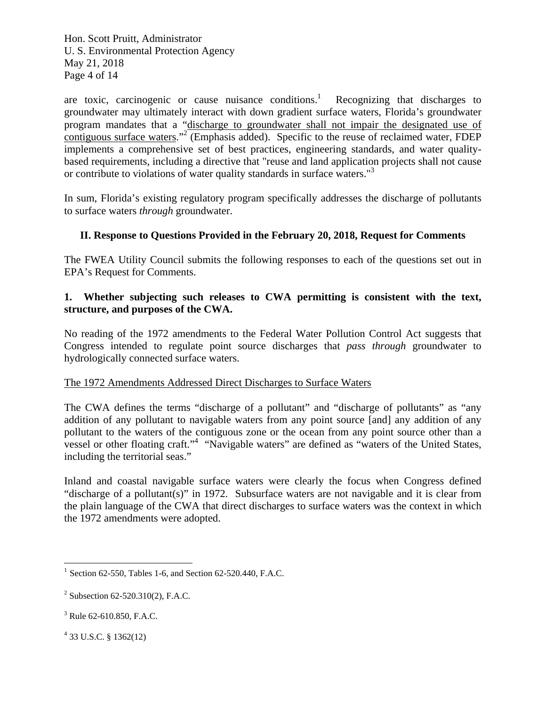Hon. Scott Pruitt, Administrator U. S. Environmental Protection Agency May 21, 2018 Page 4 of 14

are toxic, carcinogenic or cause nuisance conditions. $<sup>1</sup>$ </sup> Recognizing that discharges to groundwater may ultimately interact with down gradient surface waters, Florida's groundwater program mandates that a "discharge to groundwater shall not impair the designated use of contiguous surface waters."<sup>2</sup> (Emphasis added). Specific to the reuse of reclaimed water, FDEP implements a comprehensive set of best practices, engineering standards, and water qualitybased requirements, including a directive that "reuse and land application projects shall not cause or contribute to violations of water quality standards in surface waters."<sup>3</sup>

In sum, Florida's existing regulatory program specifically addresses the discharge of pollutants to surface waters *through* groundwater.

# **II. Response to Questions Provided in the February 20, 2018, Request for Comments**

The FWEA Utility Council submits the following responses to each of the questions set out in EPA's Request for Comments.

# **1. Whether subjecting such releases to CWA permitting is consistent with the text, structure, and purposes of the CWA.**

No reading of the 1972 amendments to the Federal Water Pollution Control Act suggests that Congress intended to regulate point source discharges that *pass through* groundwater to hydrologically connected surface waters.

# The 1972 Amendments Addressed Direct Discharges to Surface Waters

The CWA defines the terms "discharge of a pollutant" and "discharge of pollutants" as "any addition of any pollutant to navigable waters from any point source [and] any addition of any pollutant to the waters of the contiguous zone or the ocean from any point source other than a vessel or other floating craft."4 "Navigable waters" are defined as "waters of the United States, including the territorial seas."

Inland and coastal navigable surface waters were clearly the focus when Congress defined "discharge of a pollutant(s)" in 1972. Subsurface waters are not navigable and it is clear from the plain language of the CWA that direct discharges to surface waters was the context in which the 1972 amendments were adopted.

4 33 U.S.C. § 1362(12)

 $\overline{a}$ 

<sup>&</sup>lt;sup>1</sup> Section 62-550, Tables 1-6, and Section 62-520.440, F.A.C.

<sup>&</sup>lt;sup>2</sup> Subsection 62-520.310(2), F.A.C.

<sup>3</sup> Rule 62-610.850, F.A.C.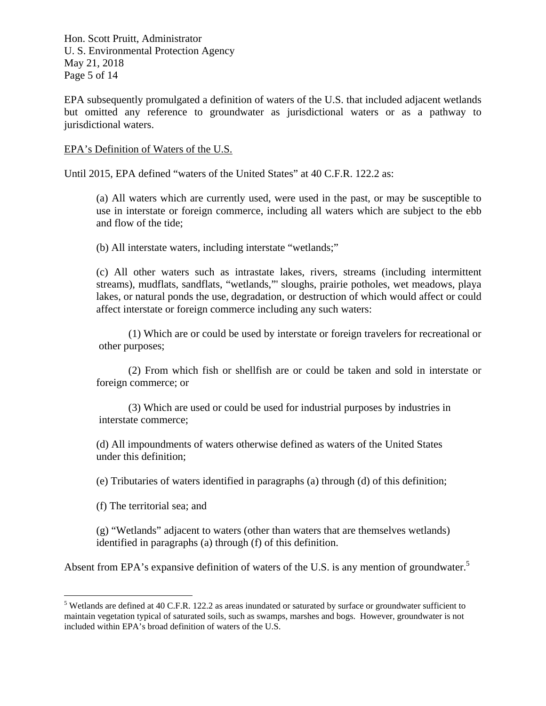Hon. Scott Pruitt, Administrator U. S. Environmental Protection Agency May 21, 2018 Page 5 of 14

EPA subsequently promulgated a definition of waters of the U.S. that included adjacent wetlands but omitted any reference to groundwater as jurisdictional waters or as a pathway to jurisdictional waters.

#### EPA's Definition of Waters of the U.S.

Until 2015, EPA defined "waters of the United States" at 40 C.F.R. 122.2 as:

 (a) All waters which are currently used, were used in the past, or may be susceptible to use in interstate or foreign commerce, including all waters which are subject to the ebb and flow of the tide;

(b) All interstate waters, including interstate "wetlands;"

 (c) All other waters such as intrastate lakes, rivers, streams (including intermittent streams), mudflats, sandflats, "wetlands,"' sloughs, prairie potholes, wet meadows, playa lakes, or natural ponds the use, degradation, or destruction of which would affect or could affect interstate or foreign commerce including any such waters:

 (1) Which are or could be used by interstate or foreign travelers for recreational or other purposes;

 (2) From which fish or shellfish are or could be taken and sold in interstate or foreign commerce; or

 (3) Which are used or could be used for industrial purposes by industries in interstate commerce;

 (d) All impoundments of waters otherwise defined as waters of the United States under this definition;

(e) Tributaries of waters identified in paragraphs (a) through (d) of this definition;

(f) The territorial sea; and

<u>.</u>

 (g) "Wetlands" adjacent to waters (other than waters that are themselves wetlands) identified in paragraphs (a) through (f) of this definition.

Absent from EPA's expansive definition of waters of the U.S. is any mention of groundwater.<sup>5</sup>

 $<sup>5</sup>$  Wetlands are defined at 40 C.F.R. 122.2 as areas inundated or saturated by surface or groundwater sufficient to</sup> maintain vegetation typical of saturated soils, such as swamps, marshes and bogs. However, groundwater is not included within EPA's broad definition of waters of the U.S.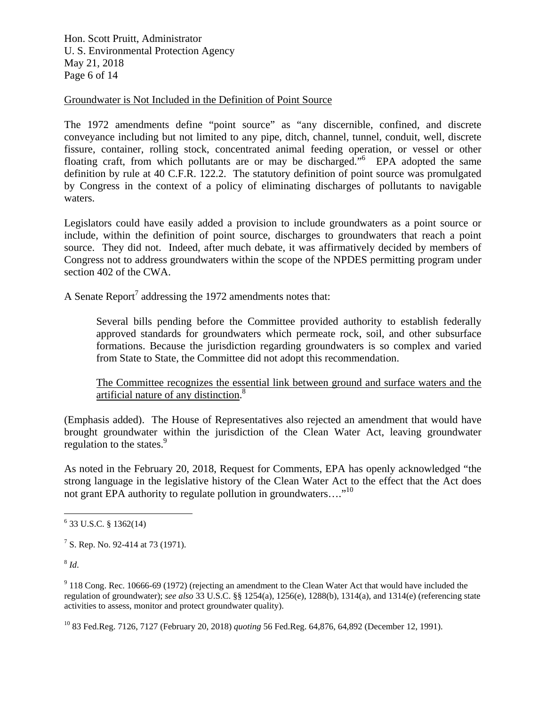Hon. Scott Pruitt, Administrator U. S. Environmental Protection Agency May 21, 2018 Page 6 of 14

#### Groundwater is Not Included in the Definition of Point Source

The 1972 amendments define "point source" as "any discernible, confined, and discrete conveyance including but not limited to any pipe, ditch, channel, tunnel, conduit, well, discrete fissure, container, rolling stock, concentrated animal feeding operation, or vessel or other floating craft, from which pollutants are or may be discharged."<sup>6</sup> EPA adopted the same definition by rule at 40 C.F.R. 122.2. The statutory definition of point source was promulgated by Congress in the context of a policy of eliminating discharges of pollutants to navigable waters.

Legislators could have easily added a provision to include groundwaters as a point source or include, within the definition of point source, discharges to groundwaters that reach a point source. They did not. Indeed, after much debate, it was affirmatively decided by members of Congress not to address groundwaters within the scope of the NPDES permitting program under section 402 of the CWA.

A Senate Report<sup>7</sup> addressing the 1972 amendments notes that:

 Several bills pending before the Committee provided authority to establish federally approved standards for groundwaters which permeate rock, soil, and other subsurface formations. Because the jurisdiction regarding groundwaters is so complex and varied from State to State, the Committee did not adopt this recommendation.

 The Committee recognizes the essential link between ground and surface waters and the artificial nature of any distinction.<sup>8</sup>

(Emphasis added). The House of Representatives also rejected an amendment that would have brought groundwater within the jurisdiction of the Clean Water Act, leaving groundwater regulation to the states. $9$ 

As noted in the February 20, 2018, Request for Comments, EPA has openly acknowledged "the strong language in the legislative history of the Clean Water Act to the effect that the Act does not grant EPA authority to regulate pollution in groundwaters...."<sup>10</sup>

 $8$  *Id.* 

 $9$  118 Cong. Rec. 10666-69 (1972) (rejecting an amendment to the Clean Water Act that would have included the regulation of groundwater); *see also* 33 U.S.C. §§ 1254(a), 1256(e), 1288(b), 1314(a), and 1314(e) (referencing state activities to assess, monitor and protect groundwater quality).

10 83 Fed.Reg. 7126, 7127 (February 20, 2018) *quoting* 56 Fed.Reg. 64,876, 64,892 (December 12, 1991).

 6 33 U.S.C. § 1362(14)

<sup>&</sup>lt;sup>7</sup> S. Rep. No. 92-414 at 73 (1971).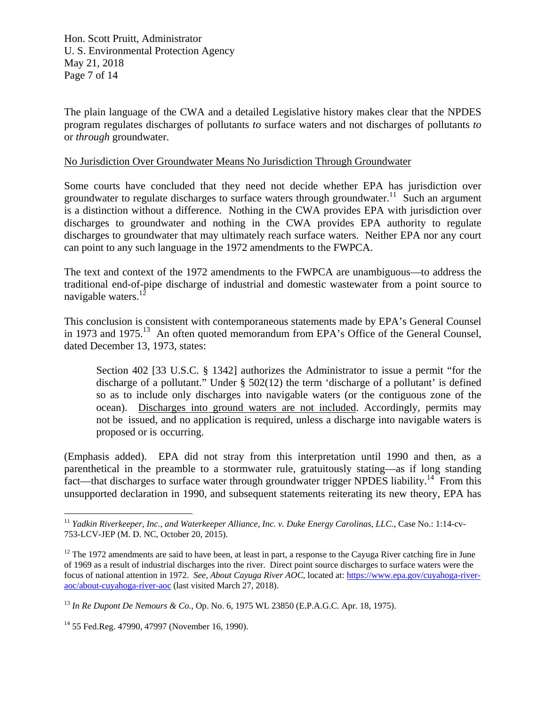Hon. Scott Pruitt, Administrator U. S. Environmental Protection Agency May 21, 2018 Page 7 of 14

The plain language of the CWA and a detailed Legislative history makes clear that the NPDES program regulates discharges of pollutants *to* surface waters and not discharges of pollutants *to* or *through* groundwater.

#### No Jurisdiction Over Groundwater Means No Jurisdiction Through Groundwater

Some courts have concluded that they need not decide whether EPA has jurisdiction over groundwater to regulate discharges to surface waters through groundwater.<sup>11</sup> Such an argument is a distinction without a difference. Nothing in the CWA provides EPA with jurisdiction over discharges to groundwater and nothing in the CWA provides EPA authority to regulate discharges to groundwater that may ultimately reach surface waters. Neither EPA nor any court can point to any such language in the 1972 amendments to the FWPCA.

The text and context of the 1972 amendments to the FWPCA are unambiguous—to address the traditional end-of-pipe discharge of industrial and domestic wastewater from a point source to navigable waters.<sup>12</sup>

This conclusion is consistent with contemporaneous statements made by EPA's General Counsel in 1973 and 1975.<sup>13</sup> An often quoted memorandum from EPA's Office of the General Counsel, dated December 13, 1973, states:

 Section 402 [33 U.S.C. § 1342] authorizes the Administrator to issue a permit "for the discharge of a pollutant." Under § 502(12) the term 'discharge of a pollutant' is defined so as to include only discharges into navigable waters (or the contiguous zone of the ocean). Discharges into ground waters are not included. Accordingly, permits may not be issued, and no application is required, unless a discharge into navigable waters is proposed or is occurring.

(Emphasis added). EPA did not stray from this interpretation until 1990 and then, as a parenthetical in the preamble to a stormwater rule, gratuitously stating—as if long standing fact—that discharges to surface water through groundwater trigger NPDES liability.<sup>14</sup> From this unsupported declaration in 1990, and subsequent statements reiterating its new theory, EPA has

1

<sup>&</sup>lt;sup>11</sup> *Yadkin Riverkeeper, Inc., and Waterkeeper Alliance, Inc. v. Duke Energy Carolinas, LLC., Case No.: 1:14-cv-*753-LCV-JEP (M. D. NC, October 20, 2015).

 $12$  The 1972 amendments are said to have been, at least in part, a response to the Cayuga River catching fire in June of 1969 as a result of industrial discharges into the river. Direct point source discharges to surface waters were the focus of national attention in 1972. *See*, *About Cayuga River AOC*, located at: https://www.epa.gov/cuyahoga-riveraoc/about-cuyahoga-river-aoc (last visited March 27, 2018).

<sup>13</sup> *In Re Dupont De Nemours & Co.*, Op. No. 6, 1975 WL 23850 (E.P.A.G.C. Apr. 18, 1975).

<sup>14 55</sup> Fed.Reg. 47990, 47997 (November 16, 1990).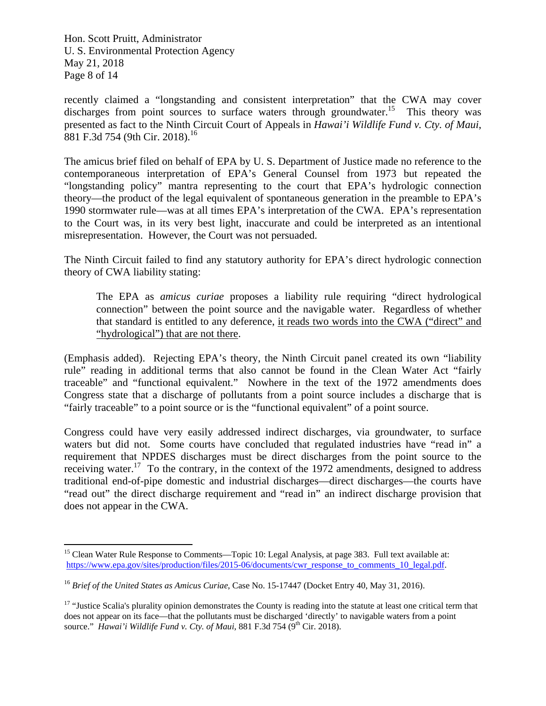Hon. Scott Pruitt, Administrator U. S. Environmental Protection Agency May 21, 2018 Page 8 of 14

1

recently claimed a "longstanding and consistent interpretation" that the CWA may cover discharges from point sources to surface waters through groundwater.<sup>15</sup> This theory was presented as fact to the Ninth Circuit Court of Appeals in *Hawai'i Wildlife Fund v. Cty. of Maui*, 881 F.3d 754 (9th Cir. 2018).<sup>16</sup>

The amicus brief filed on behalf of EPA by U. S. Department of Justice made no reference to the contemporaneous interpretation of EPA's General Counsel from 1973 but repeated the "longstanding policy" mantra representing to the court that EPA's hydrologic connection theory—the product of the legal equivalent of spontaneous generation in the preamble to EPA's 1990 stormwater rule—was at all times EPA's interpretation of the CWA. EPA's representation to the Court was, in its very best light, inaccurate and could be interpreted as an intentional misrepresentation. However, the Court was not persuaded.

The Ninth Circuit failed to find any statutory authority for EPA's direct hydrologic connection theory of CWA liability stating:

 The EPA as *amicus curiae* proposes a liability rule requiring "direct hydrological connection" between the point source and the navigable water. Regardless of whether that standard is entitled to any deference, it reads two words into the CWA ("direct" and "hydrological") that are not there.

(Emphasis added). Rejecting EPA's theory, the Ninth Circuit panel created its own "liability rule" reading in additional terms that also cannot be found in the Clean Water Act "fairly traceable" and "functional equivalent." Nowhere in the text of the 1972 amendments does Congress state that a discharge of pollutants from a point source includes a discharge that is "fairly traceable" to a point source or is the "functional equivalent" of a point source.

Congress could have very easily addressed indirect discharges, via groundwater, to surface waters but did not. Some courts have concluded that regulated industries have "read in" a requirement that NPDES discharges must be direct discharges from the point source to the receiving water.<sup>17</sup> To the contrary, in the context of the  $1972$  amendments, designed to address traditional end-of-pipe domestic and industrial discharges—direct discharges—the courts have "read out" the direct discharge requirement and "read in" an indirect discharge provision that does not appear in the CWA.

<sup>&</sup>lt;sup>15</sup> Clean Water Rule Response to Comments—Topic 10: Legal Analysis, at page 383. Full text available at: https://www.epa.gov/sites/production/files/2015-06/documents/cwr\_response\_to\_comments\_10\_legal.pdf.

<sup>16</sup> *Brief of the United States as Amicus Curiae*, Case No. 15-17447 (Docket Entry 40, May 31, 2016).

<sup>&</sup>lt;sup>17</sup> "Justice Scalia's plurality opinion demonstrates the County is reading into the statute at least one critical term that does not appear on its face—that the pollutants must be discharged 'directly' to navigable waters from a point source." *Hawai'i Wildlife Fund v. Cty. of Maui*, 881 F.3d 754 (9<sup>th</sup> Cir. 2018).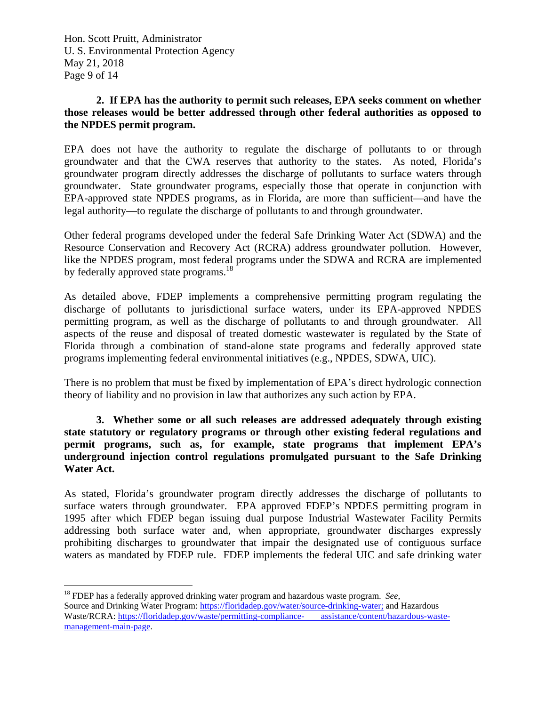Hon. Scott Pruitt, Administrator U. S. Environmental Protection Agency May 21, 2018 Page 9 of 14

# **2. If EPA has the authority to permit such releases, EPA seeks comment on whether those releases would be better addressed through other federal authorities as opposed to the NPDES permit program.**

EPA does not have the authority to regulate the discharge of pollutants to or through groundwater and that the CWA reserves that authority to the states. As noted, Florida's groundwater program directly addresses the discharge of pollutants to surface waters through groundwater. State groundwater programs, especially those that operate in conjunction with EPA-approved state NPDES programs, as in Florida, are more than sufficient—and have the legal authority—to regulate the discharge of pollutants to and through groundwater.

Other federal programs developed under the federal Safe Drinking Water Act (SDWA) and the Resource Conservation and Recovery Act (RCRA) address groundwater pollution. However, like the NPDES program, most federal programs under the SDWA and RCRA are implemented by federally approved state programs.<sup>18</sup>

As detailed above, FDEP implements a comprehensive permitting program regulating the discharge of pollutants to jurisdictional surface waters, under its EPA-approved NPDES permitting program, as well as the discharge of pollutants to and through groundwater. All aspects of the reuse and disposal of treated domestic wastewater is regulated by the State of Florida through a combination of stand-alone state programs and federally approved state programs implementing federal environmental initiatives (e.g., NPDES, SDWA, UIC).

There is no problem that must be fixed by implementation of EPA's direct hydrologic connection theory of liability and no provision in law that authorizes any such action by EPA.

**3. Whether some or all such releases are addressed adequately through existing state statutory or regulatory programs or through other existing federal regulations and permit programs, such as, for example, state programs that implement EPA's underground injection control regulations promulgated pursuant to the Safe Drinking Water Act.** 

As stated, Florida's groundwater program directly addresses the discharge of pollutants to surface waters through groundwater. EPA approved FDEP's NPDES permitting program in 1995 after which FDEP began issuing dual purpose Industrial Wastewater Facility Permits addressing both surface water and, when appropriate, groundwater discharges expressly prohibiting discharges to groundwater that impair the designated use of contiguous surface waters as mandated by FDEP rule. FDEP implements the federal UIC and safe drinking water

 $\overline{a}$ 18 FDEP has a federally approved drinking water program and hazardous waste program. *See*, Source and Drinking Water Program: https://floridadep.gov/water/source-drinking-water; and Hazardous Waste/RCRA: https://floridadep.gov/waste/permitting-compliance- assistance/content/hazardous-wastemanagement-main-page.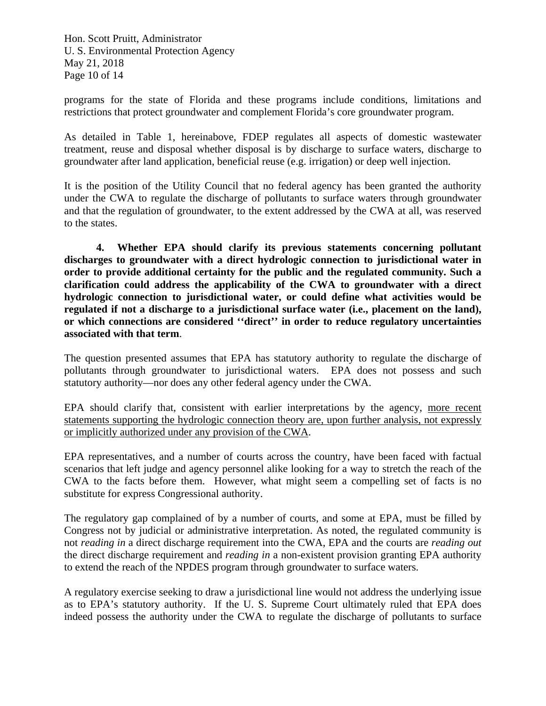Hon. Scott Pruitt, Administrator U. S. Environmental Protection Agency May 21, 2018 Page 10 of 14

programs for the state of Florida and these programs include conditions, limitations and restrictions that protect groundwater and complement Florida's core groundwater program.

As detailed in Table 1, hereinabove, FDEP regulates all aspects of domestic wastewater treatment, reuse and disposal whether disposal is by discharge to surface waters, discharge to groundwater after land application, beneficial reuse (e.g. irrigation) or deep well injection.

It is the position of the Utility Council that no federal agency has been granted the authority under the CWA to regulate the discharge of pollutants to surface waters through groundwater and that the regulation of groundwater, to the extent addressed by the CWA at all, was reserved to the states.

**4. Whether EPA should clarify its previous statements concerning pollutant discharges to groundwater with a direct hydrologic connection to jurisdictional water in order to provide additional certainty for the public and the regulated community. Such a clarification could address the applicability of the CWA to groundwater with a direct hydrologic connection to jurisdictional water, or could define what activities would be regulated if not a discharge to a jurisdictional surface water (i.e., placement on the land), or which connections are considered ''direct'' in order to reduce regulatory uncertainties associated with that term**.

The question presented assumes that EPA has statutory authority to regulate the discharge of pollutants through groundwater to jurisdictional waters. EPA does not possess and such statutory authority—nor does any other federal agency under the CWA.

EPA should clarify that, consistent with earlier interpretations by the agency, more recent statements supporting the hydrologic connection theory are, upon further analysis, not expressly or implicitly authorized under any provision of the CWA.

EPA representatives, and a number of courts across the country, have been faced with factual scenarios that left judge and agency personnel alike looking for a way to stretch the reach of the CWA to the facts before them. However, what might seem a compelling set of facts is no substitute for express Congressional authority.

The regulatory gap complained of by a number of courts, and some at EPA, must be filled by Congress not by judicial or administrative interpretation. As noted, the regulated community is not *reading in* a direct discharge requirement into the CWA, EPA and the courts are *reading out* the direct discharge requirement and *reading in* a non-existent provision granting EPA authority to extend the reach of the NPDES program through groundwater to surface waters.

A regulatory exercise seeking to draw a jurisdictional line would not address the underlying issue as to EPA's statutory authority. If the U. S. Supreme Court ultimately ruled that EPA does indeed possess the authority under the CWA to regulate the discharge of pollutants to surface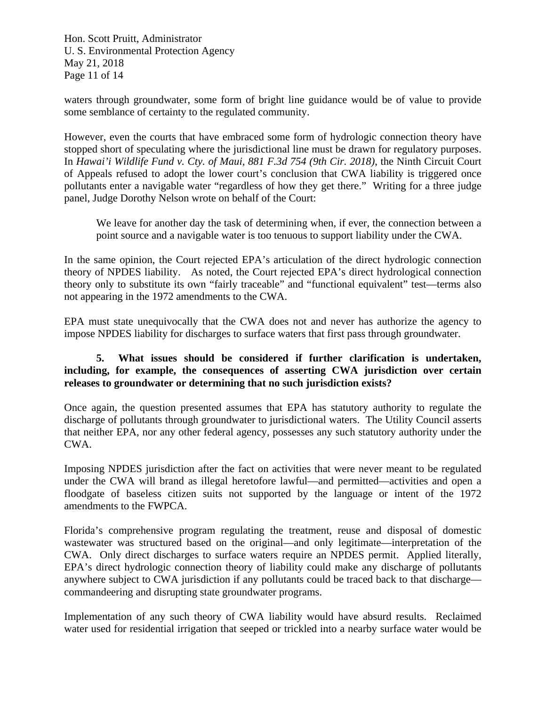Hon. Scott Pruitt, Administrator U. S. Environmental Protection Agency May 21, 2018 Page 11 of 14

waters through groundwater, some form of bright line guidance would be of value to provide some semblance of certainty to the regulated community.

However, even the courts that have embraced some form of hydrologic connection theory have stopped short of speculating where the jurisdictional line must be drawn for regulatory purposes. In *Hawai'i Wildlife Fund v. Cty. of Maui, 881 F.3d 754 (9th Cir. 2018)*, the Ninth Circuit Court of Appeals refused to adopt the lower court's conclusion that CWA liability is triggered once pollutants enter a navigable water "regardless of how they get there." Writing for a three judge panel, Judge Dorothy Nelson wrote on behalf of the Court:

 We leave for another day the task of determining when, if ever, the connection between a point source and a navigable water is too tenuous to support liability under the CWA.

In the same opinion, the Court rejected EPA's articulation of the direct hydrologic connection theory of NPDES liability. As noted, the Court rejected EPA's direct hydrological connection theory only to substitute its own "fairly traceable" and "functional equivalent" test—terms also not appearing in the 1972 amendments to the CWA.

EPA must state unequivocally that the CWA does not and never has authorize the agency to impose NPDES liability for discharges to surface waters that first pass through groundwater.

# **5. What issues should be considered if further clarification is undertaken, including, for example, the consequences of asserting CWA jurisdiction over certain releases to groundwater or determining that no such jurisdiction exists?**

Once again, the question presented assumes that EPA has statutory authority to regulate the discharge of pollutants through groundwater to jurisdictional waters. The Utility Council asserts that neither EPA, nor any other federal agency, possesses any such statutory authority under the CWA.

Imposing NPDES jurisdiction after the fact on activities that were never meant to be regulated under the CWA will brand as illegal heretofore lawful—and permitted—activities and open a floodgate of baseless citizen suits not supported by the language or intent of the 1972 amendments to the FWPCA.

Florida's comprehensive program regulating the treatment, reuse and disposal of domestic wastewater was structured based on the original—and only legitimate—interpretation of the CWA. Only direct discharges to surface waters require an NPDES permit. Applied literally, EPA's direct hydrologic connection theory of liability could make any discharge of pollutants anywhere subject to CWA jurisdiction if any pollutants could be traced back to that discharge commandeering and disrupting state groundwater programs.

Implementation of any such theory of CWA liability would have absurd results. Reclaimed water used for residential irrigation that seeped or trickled into a nearby surface water would be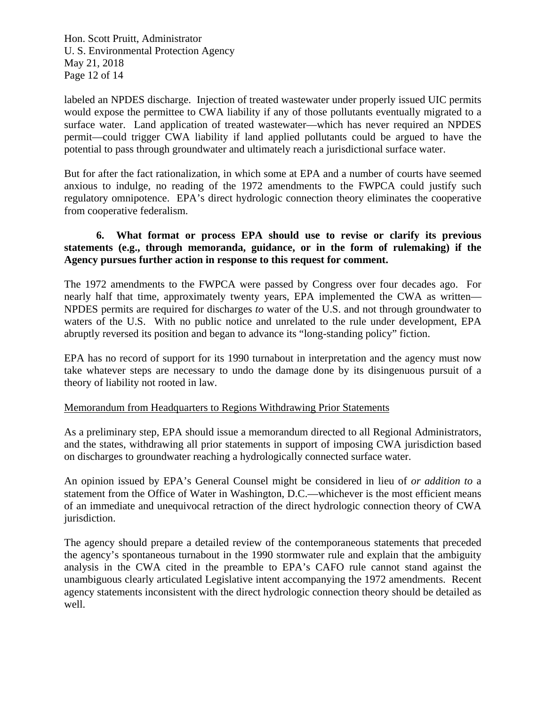Hon. Scott Pruitt, Administrator U. S. Environmental Protection Agency May 21, 2018 Page 12 of 14

labeled an NPDES discharge. Injection of treated wastewater under properly issued UIC permits would expose the permittee to CWA liability if any of those pollutants eventually migrated to a surface water. Land application of treated wastewater—which has never required an NPDES permit—could trigger CWA liability if land applied pollutants could be argued to have the potential to pass through groundwater and ultimately reach a jurisdictional surface water.

But for after the fact rationalization, in which some at EPA and a number of courts have seemed anxious to indulge, no reading of the 1972 amendments to the FWPCA could justify such regulatory omnipotence. EPA's direct hydrologic connection theory eliminates the cooperative from cooperative federalism.

# **6. What format or process EPA should use to revise or clarify its previous statements (e.g., through memoranda, guidance, or in the form of rulemaking) if the Agency pursues further action in response to this request for comment.**

The 1972 amendments to the FWPCA were passed by Congress over four decades ago. For nearly half that time, approximately twenty years, EPA implemented the CWA as written— NPDES permits are required for discharges *to* water of the U.S. and not through groundwater to waters of the U.S. With no public notice and unrelated to the rule under development, EPA abruptly reversed its position and began to advance its "long-standing policy" fiction.

EPA has no record of support for its 1990 turnabout in interpretation and the agency must now take whatever steps are necessary to undo the damage done by its disingenuous pursuit of a theory of liability not rooted in law.

#### Memorandum from Headquarters to Regions Withdrawing Prior Statements

As a preliminary step, EPA should issue a memorandum directed to all Regional Administrators, and the states, withdrawing all prior statements in support of imposing CWA jurisdiction based on discharges to groundwater reaching a hydrologically connected surface water.

An opinion issued by EPA's General Counsel might be considered in lieu of *or addition to* a statement from the Office of Water in Washington, D.C.—whichever is the most efficient means of an immediate and unequivocal retraction of the direct hydrologic connection theory of CWA jurisdiction.

The agency should prepare a detailed review of the contemporaneous statements that preceded the agency's spontaneous turnabout in the 1990 stormwater rule and explain that the ambiguity analysis in the CWA cited in the preamble to EPA's CAFO rule cannot stand against the unambiguous clearly articulated Legislative intent accompanying the 1972 amendments. Recent agency statements inconsistent with the direct hydrologic connection theory should be detailed as well.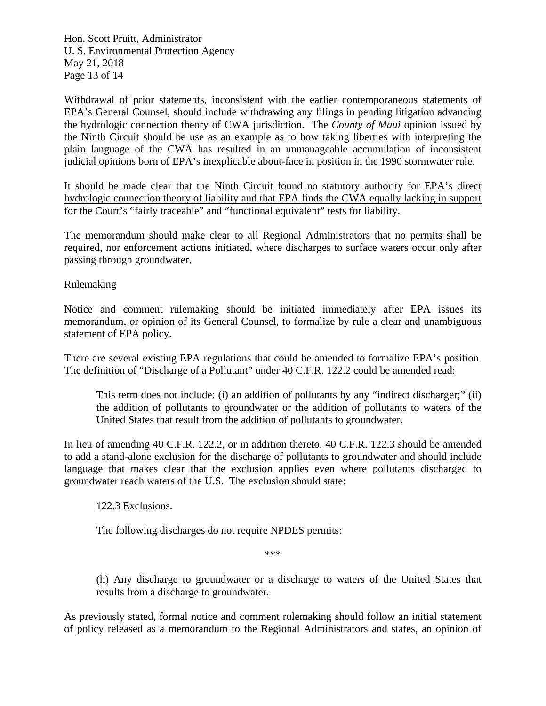Hon. Scott Pruitt, Administrator U. S. Environmental Protection Agency May 21, 2018 Page 13 of 14

Withdrawal of prior statements, inconsistent with the earlier contemporaneous statements of EPA's General Counsel, should include withdrawing any filings in pending litigation advancing the hydrologic connection theory of CWA jurisdiction. The *County of Maui* opinion issued by the Ninth Circuit should be use as an example as to how taking liberties with interpreting the plain language of the CWA has resulted in an unmanageable accumulation of inconsistent judicial opinions born of EPA's inexplicable about-face in position in the 1990 stormwater rule.

It should be made clear that the Ninth Circuit found no statutory authority for EPA's direct hydrologic connection theory of liability and that EPA finds the CWA equally lacking in support for the Court's "fairly traceable" and "functional equivalent" tests for liability.

The memorandum should make clear to all Regional Administrators that no permits shall be required, nor enforcement actions initiated, where discharges to surface waters occur only after passing through groundwater.

Rulemaking

Notice and comment rulemaking should be initiated immediately after EPA issues its memorandum, or opinion of its General Counsel, to formalize by rule a clear and unambiguous statement of EPA policy.

There are several existing EPA regulations that could be amended to formalize EPA's position. The definition of "Discharge of a Pollutant" under 40 C.F.R. 122.2 could be amended read:

 This term does not include: (i) an addition of pollutants by any "indirect discharger;" (ii) the addition of pollutants to groundwater or the addition of pollutants to waters of the United States that result from the addition of pollutants to groundwater.

In lieu of amending 40 C.F.R. 122.2, or in addition thereto, 40 C.F.R. 122.3 should be amended to add a stand-alone exclusion for the discharge of pollutants to groundwater and should include language that makes clear that the exclusion applies even where pollutants discharged to groundwater reach waters of the U.S. The exclusion should state:

122.3 Exclusions.

The following discharges do not require NPDES permits:

\*\*\*

 (h) Any discharge to groundwater or a discharge to waters of the United States that results from a discharge to groundwater.

As previously stated, formal notice and comment rulemaking should follow an initial statement of policy released as a memorandum to the Regional Administrators and states, an opinion of